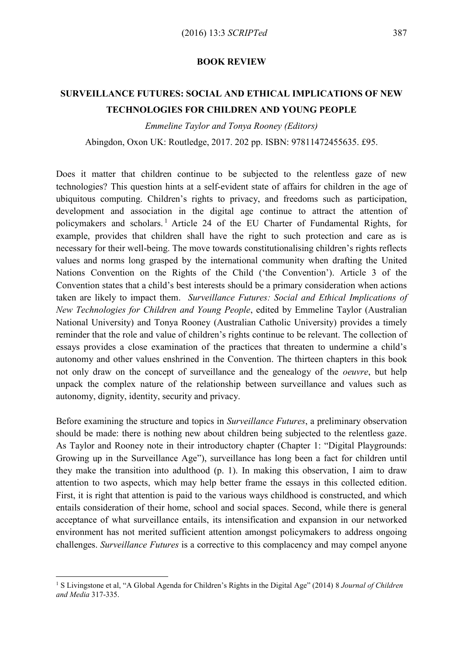## **BOOK REVIEW**

## **SURVEILLANCE FUTURES: SOCIAL AND ETHICAL IMPLICATIONS OF NEW TECHNOLOGIES FOR CHILDREN AND YOUNG PEOPLE**

*Emmeline Taylor and Tonya Rooney (Editors)*

Abingdon, Oxon UK: Routledge, 2017. 202 pp. ISBN: 97811472455635. £95.

Does it matter that children continue to be subjected to the relentless gaze of new technologies? This question hints at a self-evident state of affairs for children in the age of ubiquitous computing. Children's rights to privacy, and freedoms such as participation, development and association in the digital age continue to attract the attention of policymakers and scholars. <sup>1</sup> Article 24 of the EU Charter of Fundamental Rights, for example, provides that children shall have the right to such protection and care as is necessary for their well-being. The move towards constitutionalising children's rights reflects values and norms long grasped by the international community when drafting the United Nations Convention on the Rights of the Child ('the Convention'). Article 3 of the Convention states that a child's best interests should be a primary consideration when actions taken are likely to impact them. *Surveillance Futures: Social and Ethical Implications of New Technologies for Children and Young People*, edited by Emmeline Taylor (Australian National University) and Tonya Rooney (Australian Catholic University) provides a timely reminder that the role and value of children's rights continue to be relevant. The collection of essays provides a close examination of the practices that threaten to undermine a child's autonomy and other values enshrined in the Convention. The thirteen chapters in this book not only draw on the concept of surveillance and the genealogy of the *oeuvre*, but help unpack the complex nature of the relationship between surveillance and values such as autonomy, dignity, identity, security and privacy.

Before examining the structure and topics in *Surveillance Futures*, a preliminary observation should be made: there is nothing new about children being subjected to the relentless gaze. As Taylor and Rooney note in their introductory chapter (Chapter 1: "Digital Playgrounds: Growing up in the Surveillance Age"), surveillance has long been a fact for children until they make the transition into adulthood (p. 1). In making this observation, I aim to draw attention to two aspects, which may help better frame the essays in this collected edition. First, it is right that attention is paid to the various ways childhood is constructed, and which entails consideration of their home, school and social spaces. Second, while there is general acceptance of what surveillance entails, its intensification and expansion in our networked environment has not merited sufficient attention amongst policymakers to address ongoing challenges. *Surveillance Futures* is a corrective to this complacency and may compel anyone

<sup>1</sup> S Livingstone et al, "A Global Agenda for Children's Rights in the Digital Age" (2014) 8 *Journal of Children and Media* 317-335.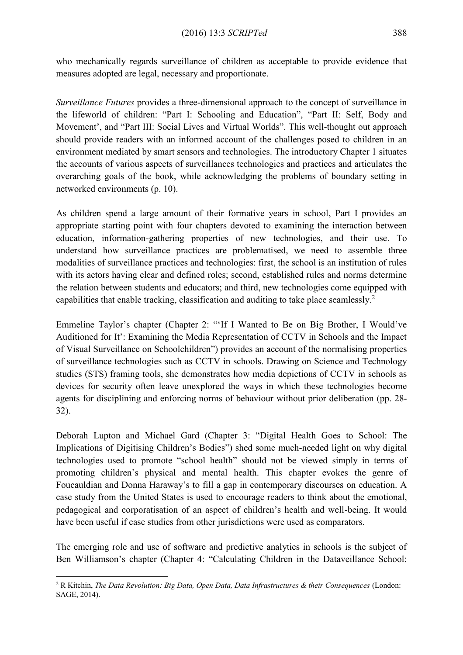who mechanically regards surveillance of children as acceptable to provide evidence that measures adopted are legal, necessary and proportionate.

*Surveillance Futures* provides a three-dimensional approach to the concept of surveillance in the lifeworld of children: "Part I: Schooling and Education", "Part II: Self, Body and Movement', and "Part III: Social Lives and Virtual Worlds". This well-thought out approach should provide readers with an informed account of the challenges posed to children in an environment mediated by smart sensors and technologies. The introductory Chapter 1 situates the accounts of various aspects of surveillances technologies and practices and articulates the overarching goals of the book, while acknowledging the problems of boundary setting in networked environments (p. 10).

As children spend a large amount of their formative years in school, Part I provides an appropriate starting point with four chapters devoted to examining the interaction between education, information-gathering properties of new technologies, and their use. To understand how surveillance practices are problematised, we need to assemble three modalities of surveillance practices and technologies: first, the school is an institution of rules with its actors having clear and defined roles; second, established rules and norms determine the relation between students and educators; and third, new technologies come equipped with capabilities that enable tracking, classification and auditing to take place seamlessly.<sup>2</sup>

Emmeline Taylor's chapter (Chapter 2: "'If I Wanted to Be on Big Brother, I Would've Auditioned for It': Examining the Media Representation of CCTV in Schools and the Impact of Visual Surveillance on Schoolchildren") provides an account of the normalising properties of surveillance technologies such as CCTV in schools. Drawing on Science and Technology studies (STS) framing tools, she demonstrates how media depictions of CCTV in schools as devices for security often leave unexplored the ways in which these technologies become agents for disciplining and enforcing norms of behaviour without prior deliberation (pp. 28- 32).

Deborah Lupton and Michael Gard (Chapter 3: "Digital Health Goes to School: The Implications of Digitising Children's Bodies") shed some much-needed light on why digital technologies used to promote "school health" should not be viewed simply in terms of promoting children's physical and mental health. This chapter evokes the genre of Foucauldian and Donna Haraway's to fill a gap in contemporary discourses on education. A case study from the United States is used to encourage readers to think about the emotional, pedagogical and corporatisation of an aspect of children's health and well-being. It would have been useful if case studies from other jurisdictions were used as comparators.

The emerging role and use of software and predictive analytics in schools is the subject of Ben Williamson's chapter (Chapter 4: "Calculating Children in the Dataveillance School:

<sup>2</sup> R Kitchin, *The Data Revolution: Big Data, Open Data, Data Infrastructures & their Consequences* (London: SAGE, 2014).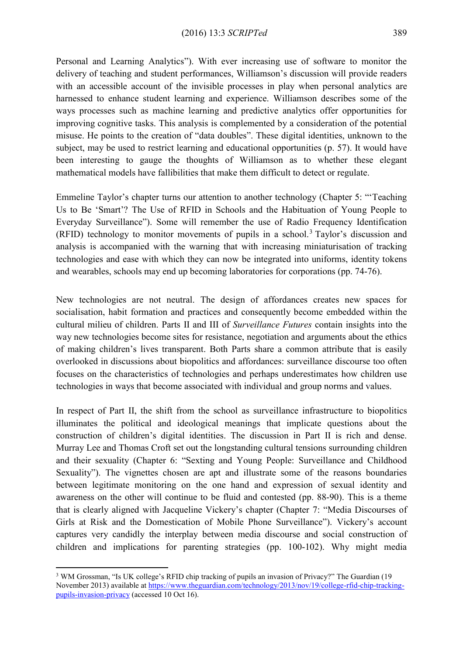Personal and Learning Analytics"). With ever increasing use of software to monitor the delivery of teaching and student performances, Williamson's discussion will provide readers with an accessible account of the invisible processes in play when personal analytics are harnessed to enhance student learning and experience. Williamson describes some of the ways processes such as machine learning and predictive analytics offer opportunities for improving cognitive tasks. This analysis is complemented by a consideration of the potential misuse. He points to the creation of "data doubles". These digital identities, unknown to the subject, may be used to restrict learning and educational opportunities (p. 57). It would have been interesting to gauge the thoughts of Williamson as to whether these elegant mathematical models have fallibilities that make them difficult to detect or regulate.

Emmeline Taylor's chapter turns our attention to another technology (Chapter 5: "'Teaching Us to Be 'Smart'? The Use of RFID in Schools and the Habituation of Young People to Everyday Surveillance"). Some will remember the use of Radio Frequency Identification (RFID) technology to monitor movements of pupils in a school.<sup>3</sup> Taylor's discussion and analysis is accompanied with the warning that with increasing miniaturisation of tracking technologies and ease with which they can now be integrated into uniforms, identity tokens and wearables, schools may end up becoming laboratories for corporations (pp. 74-76).

New technologies are not neutral. The design of affordances creates new spaces for socialisation, habit formation and practices and consequently become embedded within the cultural milieu of children. Parts II and III of *Surveillance Futures* contain insights into the way new technologies become sites for resistance, negotiation and arguments about the ethics of making children's lives transparent. Both Parts share a common attribute that is easily overlooked in discussions about biopolitics and affordances: surveillance discourse too often focuses on the characteristics of technologies and perhaps underestimates how children use technologies in ways that become associated with individual and group norms and values.

In respect of Part II, the shift from the school as surveillance infrastructure to biopolitics illuminates the political and ideological meanings that implicate questions about the construction of children's digital identities. The discussion in Part II is rich and dense. Murray Lee and Thomas Croft set out the longstanding cultural tensions surrounding children and their sexuality (Chapter 6: "Sexting and Young People: Surveillance and Childhood Sexuality"). The vignettes chosen are apt and illustrate some of the reasons boundaries between legitimate monitoring on the one hand and expression of sexual identity and awareness on the other will continue to be fluid and contested (pp. 88-90). This is a theme that is clearly aligned with Jacqueline Vickery's chapter (Chapter 7: "Media Discourses of Girls at Risk and the Domestication of Mobile Phone Surveillance"). Vickery's account captures very candidly the interplay between media discourse and social construction of children and implications for parenting strategies (pp. 100-102). Why might media

<sup>3</sup> WM Grossman, "Is UK college's RFID chip tracking of pupils an invasion of Privacy?" The Guardian (19 November 2013) available at [https://www.theguardian.com/technology/2013/nov/19/college-rfid-chip-tracking](https://www.theguardian.com/technology/2013/nov/19/college-rfid-chip-tracking-pupils-invasion-privacy)[pupils-invasion-privacy](https://www.theguardian.com/technology/2013/nov/19/college-rfid-chip-tracking-pupils-invasion-privacy) (accessed 10 Oct 16).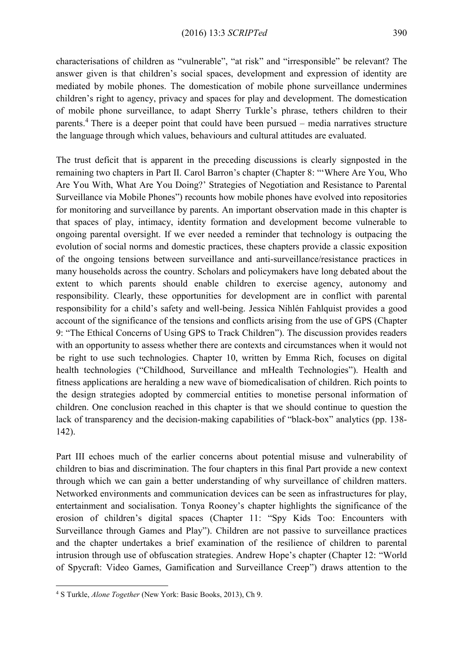characterisations of children as "vulnerable", "at risk" and "irresponsible" be relevant? The answer given is that children's social spaces, development and expression of identity are mediated by mobile phones. The domestication of mobile phone surveillance undermines children's right to agency, privacy and spaces for play and development. The domestication of mobile phone surveillance, to adapt Sherry Turkle's phrase, tethers children to their parents.<sup>4</sup> There is a deeper point that could have been pursued – media narratives structure the language through which values, behaviours and cultural attitudes are evaluated.

The trust deficit that is apparent in the preceding discussions is clearly signposted in the remaining two chapters in Part II. Carol Barron's chapter (Chapter 8: "'Where Are You, Who Are You With, What Are You Doing?' Strategies of Negotiation and Resistance to Parental Surveillance via Mobile Phones") recounts how mobile phones have evolved into repositories for monitoring and surveillance by parents. An important observation made in this chapter is that spaces of play, intimacy, identity formation and development become vulnerable to ongoing parental oversight. If we ever needed a reminder that technology is outpacing the evolution of social norms and domestic practices, these chapters provide a classic exposition of the ongoing tensions between surveillance and anti-surveillance/resistance practices in many households across the country. Scholars and policymakers have long debated about the extent to which parents should enable children to exercise agency, autonomy and responsibility. Clearly, these opportunities for development are in conflict with parental responsibility for a child's safety and well-being. Jessica Nihlén Fahlquist provides a good account of the significance of the tensions and conflicts arising from the use of GPS (Chapter 9: "The Ethical Concerns of Using GPS to Track Children"). The discussion provides readers with an opportunity to assess whether there are contexts and circumstances when it would not be right to use such technologies. Chapter 10, written by Emma Rich, focuses on digital health technologies ("Childhood, Surveillance and mHealth Technologies"). Health and fitness applications are heralding a new wave of biomedicalisation of children. Rich points to the design strategies adopted by commercial entities to monetise personal information of children. One conclusion reached in this chapter is that we should continue to question the lack of transparency and the decision-making capabilities of "black-box" analytics (pp. 138- 142).

Part III echoes much of the earlier concerns about potential misuse and vulnerability of children to bias and discrimination. The four chapters in this final Part provide a new context through which we can gain a better understanding of why surveillance of children matters. Networked environments and communication devices can be seen as infrastructures for play, entertainment and socialisation. Tonya Rooney's chapter highlights the significance of the erosion of children's digital spaces (Chapter 11: "Spy Kids Too: Encounters with Surveillance through Games and Play"). Children are not passive to surveillance practices and the chapter undertakes a brief examination of the resilience of children to parental intrusion through use of obfuscation strategies. Andrew Hope's chapter (Chapter 12: "World of Spycraft: Video Games, Gamification and Surveillance Creep") draws attention to the

<sup>4</sup> S Turkle, *Alone Together* (New York: Basic Books, 2013), Ch 9.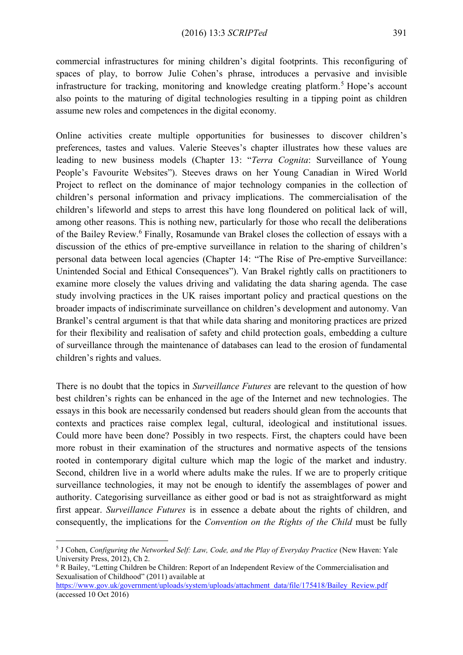commercial infrastructures for mining children's digital footprints. This reconfiguring of spaces of play, to borrow Julie Cohen's phrase, introduces a pervasive and invisible infrastructure for tracking, monitoring and knowledge creating platform. <sup>5</sup> Hope's account also points to the maturing of digital technologies resulting in a tipping point as children assume new roles and competences in the digital economy.

Online activities create multiple opportunities for businesses to discover children's preferences, tastes and values. Valerie Steeves's chapter illustrates how these values are leading to new business models (Chapter 13: "*Terra Cognita*: Surveillance of Young People's Favourite Websites"). Steeves draws on her Young Canadian in Wired World Project to reflect on the dominance of major technology companies in the collection of children's personal information and privacy implications. The commercialisation of the children's lifeworld and steps to arrest this have long floundered on political lack of will, among other reasons. This is nothing new, particularly for those who recall the deliberations of the Bailey Review.<sup>6</sup> Finally, Rosamunde van Brakel closes the collection of essays with a discussion of the ethics of pre-emptive surveillance in relation to the sharing of children's personal data between local agencies (Chapter 14: "The Rise of Pre-emptive Surveillance: Unintended Social and Ethical Consequences"). Van Brakel rightly calls on practitioners to examine more closely the values driving and validating the data sharing agenda. The case study involving practices in the UK raises important policy and practical questions on the broader impacts of indiscriminate surveillance on children's development and autonomy. Van Brankel's central argument is that that while data sharing and monitoring practices are prized for their flexibility and realisation of safety and child protection goals, embedding a culture of surveillance through the maintenance of databases can lead to the erosion of fundamental children's rights and values.

There is no doubt that the topics in *Surveillance Futures* are relevant to the question of how best children's rights can be enhanced in the age of the Internet and new technologies. The essays in this book are necessarily condensed but readers should glean from the accounts that contexts and practices raise complex legal, cultural, ideological and institutional issues. Could more have been done? Possibly in two respects. First, the chapters could have been more robust in their examination of the structures and normative aspects of the tensions rooted in contemporary digital culture which map the logic of the market and industry. Second, children live in a world where adults make the rules. If we are to properly critique surveillance technologies, it may not be enough to identify the assemblages of power and authority. Categorising surveillance as either good or bad is not as straightforward as might first appear. *Surveillance Futures* is in essence a debate about the rights of children, and consequently, the implications for the *Convention on the Rights of the Child* must be fully

<sup>5</sup> J Cohen, *Configuring the Networked Self: Law, Code, and the Play of Everyday Practice* (New Haven: Yale University Press, 2012), Ch 2.

<sup>6</sup> R Bailey, "Letting Children be Children: Report of an Independent Review of the Commercialisation and Sexualisation of Childhood" (2011) available at

[https://www.gov.uk/government/uploads/system/uploads/attachment\\_data/file/175418/Bailey\\_Review.pdf](https://www.gov.uk/government/uploads/system/uploads/attachment_data/file/175418/Bailey_Review.pdf) (accessed 10 Oct 2016)